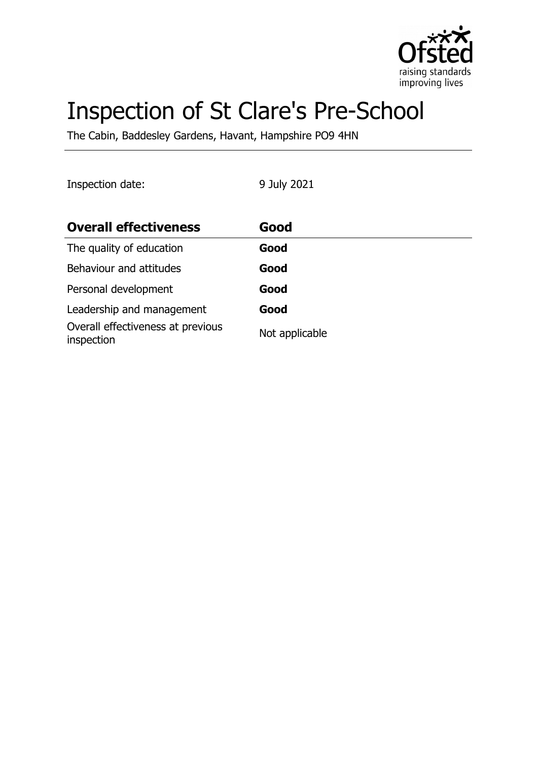

# Inspection of St Clare's Pre-School

The Cabin, Baddesley Gardens, Havant, Hampshire PO9 4HN

Inspection date: 9 July 2021

| <b>Overall effectiveness</b>                    | Good           |
|-------------------------------------------------|----------------|
| The quality of education                        | Good           |
| Behaviour and attitudes                         | Good           |
| Personal development                            | Good           |
| Leadership and management                       | Good           |
| Overall effectiveness at previous<br>inspection | Not applicable |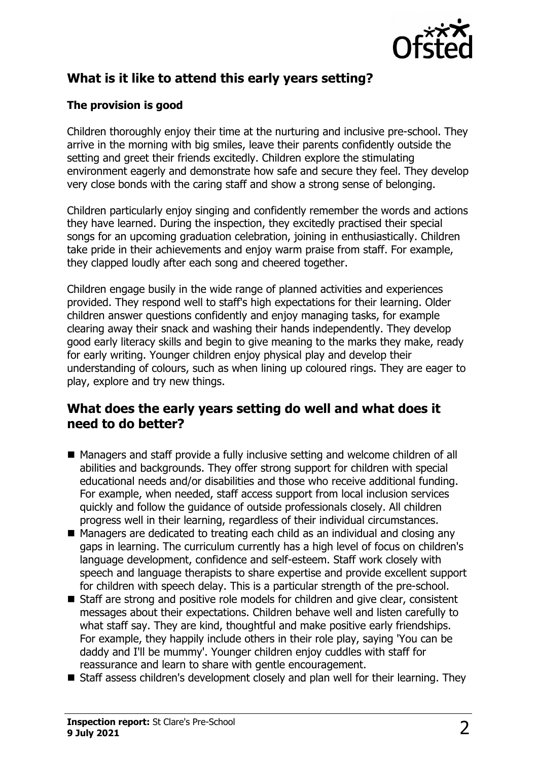

# **What is it like to attend this early years setting?**

### **The provision is good**

Children thoroughly enjoy their time at the nurturing and inclusive pre-school. They arrive in the morning with big smiles, leave their parents confidently outside the setting and greet their friends excitedly. Children explore the stimulating environment eagerly and demonstrate how safe and secure they feel. They develop very close bonds with the caring staff and show a strong sense of belonging.

Children particularly enjoy singing and confidently remember the words and actions they have learned. During the inspection, they excitedly practised their special songs for an upcoming graduation celebration, joining in enthusiastically. Children take pride in their achievements and enjoy warm praise from staff. For example, they clapped loudly after each song and cheered together.

Children engage busily in the wide range of planned activities and experiences provided. They respond well to staff's high expectations for their learning. Older children answer questions confidently and enjoy managing tasks, for example clearing away their snack and washing their hands independently. They develop good early literacy skills and begin to give meaning to the marks they make, ready for early writing. Younger children enjoy physical play and develop their understanding of colours, such as when lining up coloured rings. They are eager to play, explore and try new things.

## **What does the early years setting do well and what does it need to do better?**

- Managers and staff provide a fully inclusive setting and welcome children of all abilities and backgrounds. They offer strong support for children with special educational needs and/or disabilities and those who receive additional funding. For example, when needed, staff access support from local inclusion services quickly and follow the guidance of outside professionals closely. All children progress well in their learning, regardless of their individual circumstances.
- $\blacksquare$  Managers are dedicated to treating each child as an individual and closing any gaps in learning. The curriculum currently has a high level of focus on children's language development, confidence and self-esteem. Staff work closely with speech and language therapists to share expertise and provide excellent support for children with speech delay. This is a particular strength of the pre-school.
- Staff are strong and positive role models for children and give clear, consistent messages about their expectations. Children behave well and listen carefully to what staff say. They are kind, thoughtful and make positive early friendships. For example, they happily include others in their role play, saying 'You can be daddy and I'll be mummy'. Younger children enjoy cuddles with staff for reassurance and learn to share with gentle encouragement.
- Staff assess children's development closely and plan well for their learning. They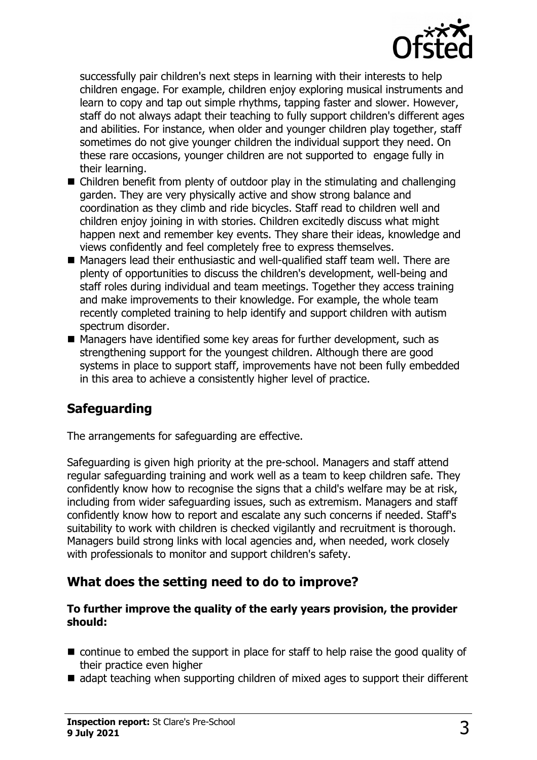

successfully pair children's next steps in learning with their interests to help children engage. For example, children enjoy exploring musical instruments and learn to copy and tap out simple rhythms, tapping faster and slower. However, staff do not always adapt their teaching to fully support children's different ages and abilities. For instance, when older and younger children play together, staff sometimes do not give younger children the individual support they need. On these rare occasions, younger children are not supported to engage fully in their learning.

- $\blacksquare$  Children benefit from plenty of outdoor play in the stimulating and challenging garden. They are very physically active and show strong balance and coordination as they climb and ride bicycles. Staff read to children well and children enjoy joining in with stories. Children excitedly discuss what might happen next and remember key events. They share their ideas, knowledge and views confidently and feel completely free to express themselves.
- $\blacksquare$  Managers lead their enthusiastic and well-qualified staff team well. There are plenty of opportunities to discuss the children's development, well-being and staff roles during individual and team meetings. Together they access training and make improvements to their knowledge. For example, the whole team recently completed training to help identify and support children with autism spectrum disorder.
- $\blacksquare$  Managers have identified some key areas for further development, such as strengthening support for the youngest children. Although there are good systems in place to support staff, improvements have not been fully embedded in this area to achieve a consistently higher level of practice.

## **Safeguarding**

The arrangements for safeguarding are effective.

Safeguarding is given high priority at the pre-school. Managers and staff attend regular safeguarding training and work well as a team to keep children safe. They confidently know how to recognise the signs that a child's welfare may be at risk, including from wider safeguarding issues, such as extremism. Managers and staff confidently know how to report and escalate any such concerns if needed. Staff's suitability to work with children is checked vigilantly and recruitment is thorough. Managers build strong links with local agencies and, when needed, work closely with professionals to monitor and support children's safety.

## **What does the setting need to do to improve?**

#### **To further improve the quality of the early years provision, the provider should:**

- $\blacksquare$  continue to embed the support in place for staff to help raise the good quality of their practice even higher
- $\blacksquare$  adapt teaching when supporting children of mixed ages to support their different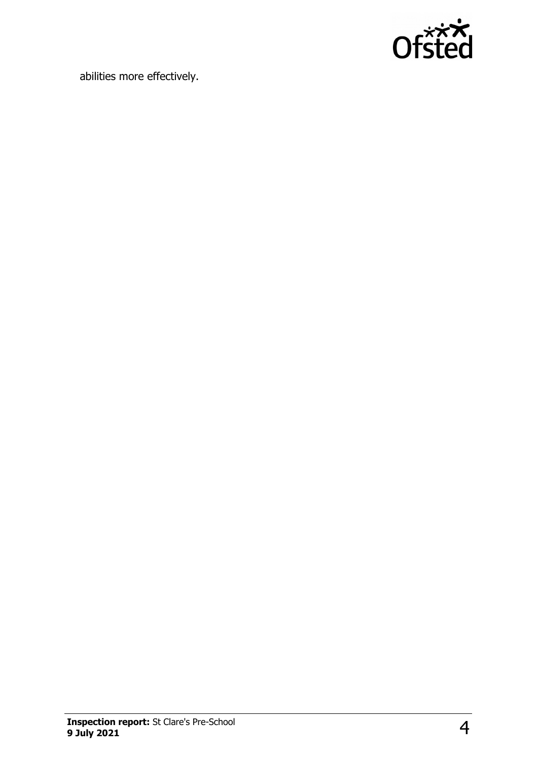

abilities more effectively.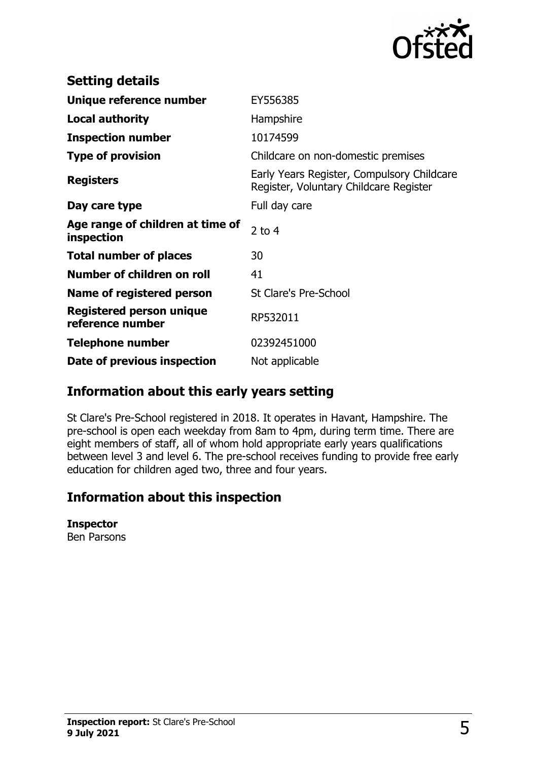

| <b>Setting details</b>                         |                                                                                      |
|------------------------------------------------|--------------------------------------------------------------------------------------|
| Unique reference number                        | EY556385                                                                             |
| <b>Local authority</b>                         | Hampshire                                                                            |
| <b>Inspection number</b>                       | 10174599                                                                             |
| <b>Type of provision</b>                       | Childcare on non-domestic premises                                                   |
| <b>Registers</b>                               | Early Years Register, Compulsory Childcare<br>Register, Voluntary Childcare Register |
| Day care type                                  | Full day care                                                                        |
| Age range of children at time of<br>inspection | 2 to $4$                                                                             |
| <b>Total number of places</b>                  | 30                                                                                   |
| Number of children on roll                     | 41                                                                                   |
| Name of registered person                      | <b>St Clare's Pre-School</b>                                                         |
| Registered person unique<br>reference number   | RP532011                                                                             |
| <b>Telephone number</b>                        | 02392451000                                                                          |
| Date of previous inspection                    | Not applicable                                                                       |

## **Information about this early years setting**

St Clare's Pre-School registered in 2018. It operates in Havant, Hampshire. The pre-school is open each weekday from 8am to 4pm, during term time. There are eight members of staff, all of whom hold appropriate early years qualifications between level 3 and level 6. The pre-school receives funding to provide free early education for children aged two, three and four years.

## **Information about this inspection**

#### **Inspector**

Ben Parsons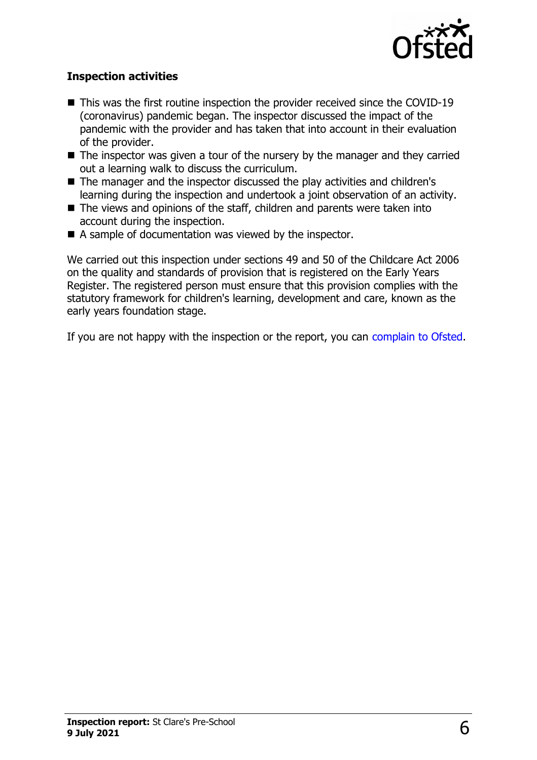

#### **Inspection activities**

- $\blacksquare$  This was the first routine inspection the provider received since the COVID-19 (coronavirus) pandemic began. The inspector discussed the impact of the pandemic with the provider and has taken that into account in their evaluation of the provider.
- $\blacksquare$  The inspector was given a tour of the nursery by the manager and they carried out a learning walk to discuss the curriculum.
- The manager and the inspector discussed the play activities and children's learning during the inspection and undertook a joint observation of an activity.
- $\blacksquare$  The views and opinions of the staff, children and parents were taken into account during the inspection.
- $\blacksquare$  A sample of documentation was viewed by the inspector.

We carried out this inspection under sections 49 and 50 of the Childcare Act 2006 on the quality and standards of provision that is registered on the Early Years Register. The registered person must ensure that this provision complies with the statutory framework for children's learning, development and care, known as the early years foundation stage.

If you are not happy with the inspection or the report, you can [complain to Ofsted.](http://www.gov.uk/complain-ofsted-report)